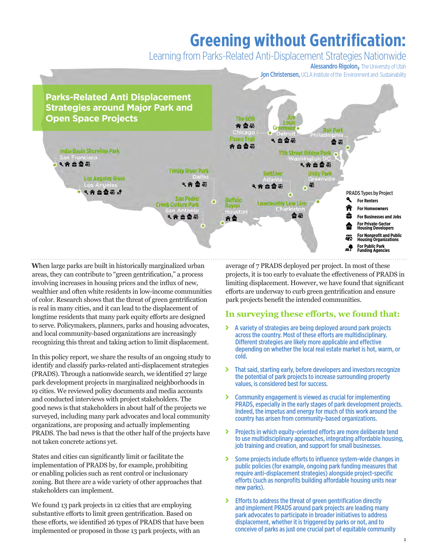# **Greening without Gentrification:**

Learning from Parks-Related Anti-Displacement Strategies Nationwide

**Alessandro Rigolon, The University of Utah** 

Jon Christensen, UCLA Institute of the Environment and Sustainability



**W**hen large parks are built in historically marginalized urban areas, they can contribute to "green gentrification," a process involving increases in housing prices and the influx of new, wealthier and often white residents in low-income communities of color. Research shows that the threat of green gentrification is real in many cities, and it can lead to the displacement of longtime residents that many park equity efforts are designed to serve. Policymakers, planners, parks and housing advocates, and local community-based organizations are increasingly recognizing this threat and taking action to limit displacement.

In this policy report, we share the results of an ongoing study to identify and classify parks-related anti-displacement strategies (PRADS). Through a nationwide search, we identified 27 large park development projects in marginalized neighborhoods in 19 cities. We reviewed policy documents and media accounts and conducted interviews with project stakeholders. The good news is that stakeholders in about half of the projects we surveyed, including many park advocates and local community organizations, are proposing and actually implementing PRADS. The bad news is that the other half of the projects have not taken concrete actions yet.

States and cities can significantly limit or facilitate the implementation of PRADS by, for example, prohibiting or enabling policies such as rent control or inclusionary zoning. But there are a wide variety of other approaches that stakeholders can implement.

We found 13 park projects in 12 cities that are employing substantive efforts to limit green gentrification. Based on these efforts, we identified 26 types of PRADS that have been implemented or proposed in those 13 park projects, with an

average of 7 PRADS deployed per project. In most of these projects, it is too early to evaluate the effectiveness of PRADS in limiting displacement. However, we have found that significant efforts are underway to curb green gentrification and ensure park projects benefit the intended communities.

#### **In surveying these efforts, we found that:**

- 7 A variety of strategies are being deployed around park projects across the country. Most of these efforts are multidisciplinary. Different strategies are likely more applicable and effective depending on whether the local real estate market is hot, warm, or cold.
- 7 That said, starting early, before developers and investors recognize the potential of park projects to increase surrounding property values, is considered best for success.
- 7 Community engagement is viewed as crucial for implementing PRADS, especially in the early stages of park development projects. Indeed, the impetus and energy for much of this work around the country has arisen from community-based organizations.
- 7 Projects in which equity-oriented efforts are more deliberate tend to use multidisciplinary approaches, integrating affordable housing, job training and creation, and support for small businesses.
- 7 Some projects include efforts to influence system-wide changes in public policies (for example, ongoing park funding measures that require anti-displacement strategies) alongside project-specific efforts (such as nonprofits building affordable housing units near new parks).
- 7 Efforts to address the threat of green gentrification directly and implement PRADS around park projects are leading many park advocates to participate in broader initiatives to address displacement, whether it is triggered by parks or not, and to conceive of parks as just one crucial part of equitable community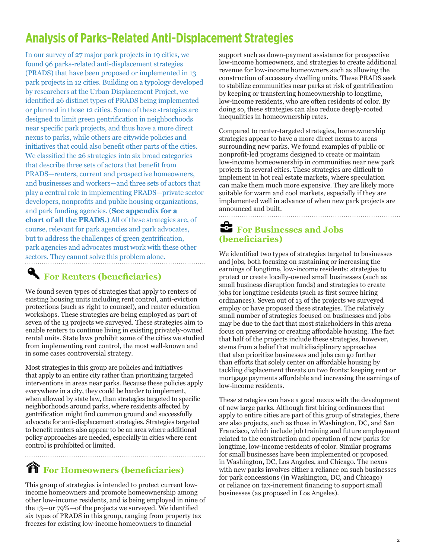## **Analysis of Parks-Related Anti-Displacement Strategies**

In our survey of 27 major park projects in 19 cities, we found 96 parks-related anti-displacement strategies (PRADS) that have been proposed or implemented in 13 park projects in 12 cities. Building on a typology developed by researchers at the Urban Displacement Project, we identified 26 distinct types of PRADS being implemented or planned in those 12 cities. Some of these strategies are designed to limit green gentrification in neighborhoods near specific park projects, and thus have a more direct nexus to parks, while others are citywide policies and initiatives that could also benefit other parts of the cities. We classified the 26 strategies into six broad categories that describe three sets of actors that benefit from PRADS—renters, current and prospective homeowners, and businesses and workers—and three sets of actors that play a central role in implementing PRADS—private sector developers, nonprofits and public housing organizations, and park funding agencies. (**See appendix for a chart of all the PRADS.**) All of these strategies are, of course, relevant for park agencies and park advocates, but to address the challenges of green gentrification, park agencies and advocates must work with these other sectors. They cannot solve this problem alone.

## **For Renters (beneficiaries)**

We found seven types of strategies that apply to renters of existing housing units including rent control, anti-eviction protections (such as right to counsel), and renter education workshops. These strategies are being employed as part of seven of the 13 projects we surveyed. These strategies aim to enable renters to continue living in existing privately-owned rental units. State laws prohibit some of the cities we studied from implementing rent control, the most well-known and in some cases controversial strategy.

Most strategies in this group are policies and initiatives that apply to an entire city rather than prioritizing targeted interventions in areas near parks. Because these policies apply everywhere in a city, they could be harder to implement, when allowed by state law, than strategies targeted to specific neighborhoods around parks, where residents affected by gentrification might find common ground and successfully advocate for anti-displacement strategies. Strategies targeted to benefit renters also appear to be an area where additional policy approaches are needed, especially in cities where rent control is prohibited or limited.

### **For Homeowners (beneficiaries)**

This group of strategies is intended to protect current lowincome homeowners and promote homeownership among other low-income residents, and is being employed in nine of the 13—or 79%—of the projects we surveyed. We identified six types of PRADS in this group, ranging from property tax freezes for existing low-income homeowners to financial

support such as down-payment assistance for prospective low-income homeowners, and strategies to create additional revenue for low-income homeowners such as allowing the construction of accessory dwelling units. These PRADS seek to stabilize communities near parks at risk of gentrification by keeping or transferring homeownership to longtime, low-income residents, who are often residents of color. By doing so, these strategies can also reduce deeply-rooted inequalities in homeownership rates.

Compared to renter-targeted strategies, homeownership strategies appear to have a more direct nexus to areas surrounding new parks. We found examples of public or nonprofit-led programs designed to create or maintain low-income homeownership in communities near new park projects in several cities. These strategies are difficult to implement in hot real estate markets, where speculation can make them much more expensive. They are likely more suitable for warm and cool markets, especially if they are implemented well in advance of when new park projects are announced and built.

#### **For Businesses and Jobs (beneficiaries)**

We identified two types of strategies targeted to businesses and jobs, both focusing on sustaining or increasing the earnings of longtime, low-income residents: strategies to protect or create locally-owned small businesses (such as small business disruption funds) and strategies to create jobs for longtime residents (such as first source hiring ordinances). Seven out of 13 of the projects we surveyed employ or have proposed these strategies. The relatively small number of strategies focused on businesses and jobs may be due to the fact that most stakeholders in this arena focus on preserving or creating affordable housing. The fact that half of the projects include these strategies, however, stems from a belief that multidisciplinary approaches that also prioritize businesses and jobs can go further than efforts that solely center on affordable housing by tackling displacement threats on two fronts: keeping rent or mortgage payments affordable and increasing the earnings of low-income residents.

These strategies can have a good nexus with the development of new large parks. Although first hiring ordinances that apply to entire cities are part of this group of strategies, there are also projects, such as those in Washington, DC, and San Francisco, which include job training and future employment related to the construction and operation of new parks for longtime, low-income residents of color. Similar programs for small businesses have been implemented or proposed in Washington, DC, Los Angeles, and Chicago. The nexus with new parks involves either a reliance on such businesses for park concessions (in Washington, DC, and Chicago) or reliance on tax-increment financing to support small businesses (as proposed in Los Angeles).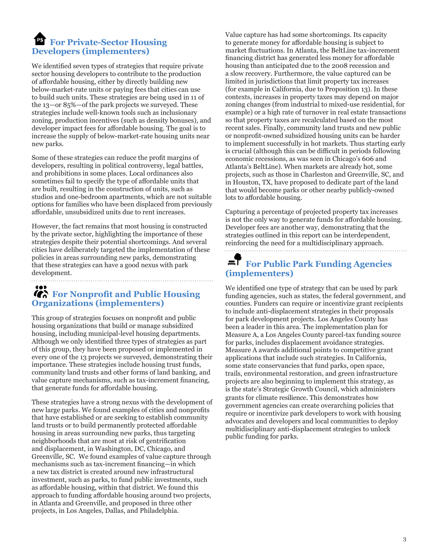#### **For Private-Sector Housing Developers (implementers)**

We identified seven types of strategies that require private sector housing developers to contribute to the production of affordable housing, either by directly building new below-market-rate units or paying fees that cities can use to build such units. These strategies are being used in 11 of the 13—or 85%—of the park projects we surveyed. These strategies include well-known tools such as inclusionary zoning, production incentives (such as density bonuses), and developer impact fees for affordable housing. The goal is to increase the supply of below-market-rate housing units near new parks.

Some of these strategies can reduce the profit margins of developers, resulting in political controversy, legal battles, and prohibitions in some places. Local ordinances also sometimes fail to specify the type of affordable units that are built, resulting in the construction of units, such as studios and one-bedroom apartments, which are not suitable options for families who have been displaced from previously affordable, unsubsidized units due to rent increases.

However, the fact remains that most housing is constructed by the private sector, highlighting the importance of these strategies despite their potential shortcomings. And several cities have deliberately targeted the implementation of these policies in areas surrounding new parks, demonstrating that these strategies can have a good nexus with park development.

#### *C***<sub>** $\uparrow$ **</sub> For Nonprofit and Public Housing Organizations (implementers)**

This group of strategies focuses on nonprofit and public housing organizations that build or manage subsidized housing, including municipal-level housing departments. Although we only identified three types of strategies as part of this group, they have been proposed or implemented in every one of the 13 projects we surveyed, demonstrating their importance. These strategies include housing trust funds, community land trusts and other forms of land banking, and value capture mechanisms, such as tax-increment financing, that generate funds for affordable housing.

These strategies have a strong nexus with the development of new large parks. We found examples of cities and nonprofits that have established or are seeking to establish community land trusts or to build permanently protected affordable housing in areas surrounding new parks, thus targeting neighborhoods that are most at risk of gentrification and displacement, in Washington, DC, Chicago, and Greenville, SC. We found examples of value capture through mechanisms such as tax-increment financing—in which a new tax district is created around new infrastructural investment, such as parks, to fund public investments, such as affordable housing, within that district. We found this approach to funding affordable housing around two projects, in Atlanta and Greenville, and proposed in three other projects, in Los Angeles, Dallas, and Philadelphia.

Value capture has had some shortcomings. Its capacity to generate money for affordable housing is subject to market fluctuations. In Atlanta, the BeltLine tax-increment financing district has generated less money for affordable housing than anticipated due to the 2008 recession and a slow recovery. Furthermore, the value captured can be limited in jurisdictions that limit property tax increases (for example in California, due to Proposition 13). In these contexts, increases in property taxes may depend on major zoning changes (from industrial to mixed-use residential, for example) or a high rate of turnover in real estate transactions so that property taxes are recalculated based on the most recent sales. Finally, community land trusts and new public or nonprofit-owned subsidized housing units can be harder to implement successfully in hot markets. Thus starting early is crucial (although this can be difficult in periods following economic recessions, as was seen in Chicago's 606 and Atlanta's BeltLine). When markets are already hot, some projects, such as those in Charleston and Greenville, SC, and in Houston, TX, have proposed to dedicate part of the land that would become parks or other nearby publicly-owned lots to affordable housing.

Capturing a percentage of projected property tax increases is not the only way to generate funds for affordable housing. Developer fees are another way, demonstrating that the strategies outlined in this report can be interdependent, reinforcing the need for a multidisciplinary approach.

## **For Public Park Funding Agencies (implementers)**

We identified one type of strategy that can be used by park funding agencies, such as states, the federal government, and counties. Funders can require or incentivize grant recipients to include anti-displacement strategies in their proposals for park development projects. Los Angeles County has been a leader in this area. The implementation plan for Measure A, a Los Angeles County parcel-tax funding source for parks, includes displacement avoidance strategies. Measure A awards additional points to competitive grant applications that include such strategies. In California, some state conservancies that fund parks, open space, trails, environmental restoration, and green infrastructure projects are also beginning to implement this strategy, as is the state's Strategic Growth Council, which administers grants for climate resilience. This demonstrates how government agencies can create overarching policies that require or incentivize park developers to work with housing advocates and developers and local communities to deploy multidisciplinary anti-displacement strategies to unlock public funding for parks.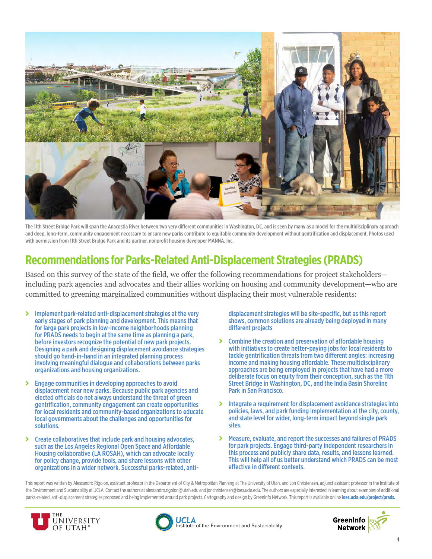

The 11th Street Bridge Park will span the Anacostia River between two very different communities in Washington, DC, and is seen by many as a model for the multidisciplinary approach and deep, long-term, community engagement necessary to ensure new parks contribute to equitable community development without gentrification and displacement. Photos used with permission from 11th Street Bridge Park and its partner, nonprofit housing developer MANNA, Inc.

## **Recommendations for Parks-Related Anti-Displacement Strategies (PRADS)**

Based on this survey of the state of the field, we offer the following recommendations for project stakeholders including park agencies and advocates and their allies working on housing and community development—who are committed to greening marginalized communities without displacing their most vulnerable residents:

- 7 Implement park-related anti-displacement strategies at the very early stages of park planning and development. This means that for large park projects in low-income neighborhoods planning for PRADS needs to begin at the same time as planning a park, before investors recognize the potential of new park projects. Designing a park and designing displacement avoidance strategies should go hand-in-hand in an integrated planning process involving meaningful dialogue and collaborations between parks organizations and housing organizations.
- 7 Engage communities in developing approaches to avoid displacement near new parks. Because public park agencies and elected officials do not always understand the threat of green gentrification, community engagement can create opportunities for local residents and community-based organizations to educate local governments about the challenges and opportunities for solutions.
- 7 Create collaboratives that include park and housing advocates, such as the Los Angeles Regional Open Space and Affordable Housing collaborative (LA ROSAH), which can advocate locally for policy change, provide tools, and share lessons with other organizations in a wider network. Successful parks-related, anti-

displacement strategies will be site-specific, but as this report shows, common solutions are already being deployed in many different projects

- 7 Combine the creation and preservation of affordable housing with initiatives to create better-paying jobs for local residents to tackle gentrification threats from two different angles: increasing income and making housing affordable. These multidisciplinary approaches are being employed in projects that have had a more deliberate focus on equity from their conception, such as the 11th Street Bridge in Washington, DC, and the India Basin Shoreline Park in San Francisco.
- 7 Integrate a requirement for displacement avoidance strategies into policies, laws, and park funding implementation at the city, county, and state level for wider, long-term impact beyond single park sites.
- 7 Measure, evaluate, and report the successes and failures of PRADS for park projects. Engage third-party independent researchers in this process and publicly share data, results, and lessons learned. This will help all of us better understand which PRADS can be most effective in different contexts.

This report was written by Alessandro Rigolon, assistant professor in the Department of City & Metropolitan Planning at The University of Utah, and Jon Christensen, adjunct assistant professor in the Institute of the Environment and Sustainability at UCLA. Contact the authors at alessandro.rigolon@utah.edu and jonchristensen@ioes.ucla.edu. The authors are especially interested in learning about examples of additional parks-related, anti-displacement strategies proposed and being implemented around park projects. Cartography and design by GreenInfo Network. This report is available online joes.ucla.edu/project/prads.





Institute of the Environment and Sustainability